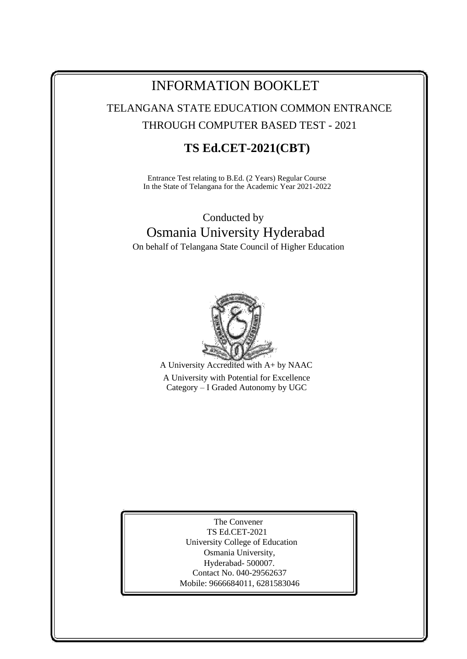## INFORMATION BOOKLET

TELANGANA STATE EDUCATION COMMON ENTRANCE THROUGH COMPUTER BASED TEST - 2021

## **TS Ed.CET-2021(CBT)**

Entrance Test relating to B.Ed. (2 Years) Regular Course In the State of Telangana for the Academic Year 2021-2022

# Conducted by Osmania University Hyderabad

On behalf of Telangana State Council of Higher Education



A University Accredited with A+ by NAAC A University with Potential for Excellence Category – I Graded Autonomy by UGC

> The Convener TS Ed.CET-2021 University College of Education Osmania University, Hyderabad- 500007. Contact No. 040-29562637 Mobile: 9666684011, 6281583046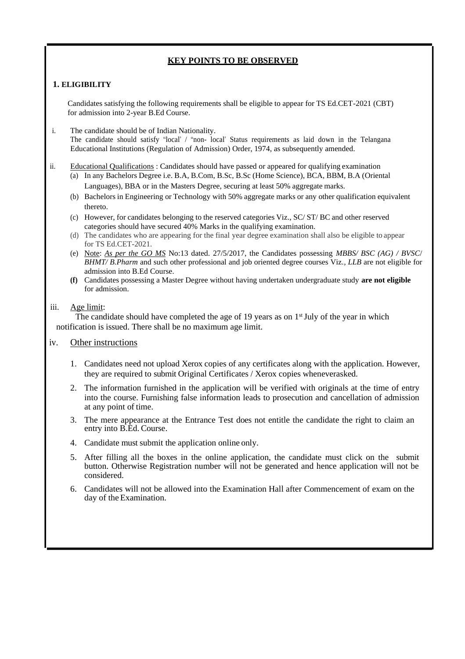### **KEY POINTS TO BE OBSERVED**

### **1. ELIGIBILITY**

Candidates satisfying the following requirements shall be eligible to appear for TS Ed.CET-2021 (CBT) for admission into 2-year B.Ed Course.

- i. The candidate should be of Indian Nationality. The candidate should satisfy "local" / "non- local" Status requirements as laid down in the Telangana Educational Institutions (Regulation of Admission) Order, 1974, as subsequently amended.
- ii. Educational Qualifications : Candidates should have passed or appeared for qualifying examination
	- (a) In any Bachelors Degree i.e. B.A, B.Com, B.Sc, B.Sc (Home Science), BCA, BBM, B.A (Oriental Languages), BBA or in the Masters Degree, securing at least 50% aggregate marks.
	- (b) Bachelors in Engineering or Technology with 50% aggregate marks or any other qualification equivalent thereto.
	- (c) However, for candidates belonging to the reserved categories Viz., SC/ ST/ BC and other reserved categories should have secured 40% Marks in the qualifying examination.
	- (d) The candidates who are appearing for the final year degree examination shall also be eligible to appear for TS Ed.CET-2021.
	- (e) Note: *As per the GO MS* No:13 dated. 27/5/2017, the Candidates possessing *MBBS/ BSC (AG) / BVSC*/ *BHMT/ B.Pharm* and such other professional and job oriented degree courses Viz*., LLB* are not eligible for admission into B.Ed Course.
	- **(f)** Candidates possessing a Master Degree without having undertaken undergraduate study **are not eligible** for admission.

### iii. Age limit:

The candidate should have completed the age of 19 years as on  $1<sup>st</sup>$  July of the year in which notification is issued. There shall be no maximum age limit.

### iv. Other instructions

- 1. Candidates need not upload Xerox copies of any certificates along with the application. However, they are required to submit Original Certificates / Xerox copies wheneverasked.
- 2. The information furnished in the application will be verified with originals at the time of entry into the course. Furnishing false information leads to prosecution and cancellation of admission at any point of time.
- 3. The mere appearance at the Entrance Test does not entitle the candidate the right to claim an entry into B.Ed. Course.
- 4. Candidate must submit the application online only.
- 5. After filling all the boxes in the online application, the candidate must click on the submit button. Otherwise Registration number will not be generated and hence application will not be considered.
- 6. Candidates will not be allowed into the Examination Hall after Commencement of exam on the day of the Examination.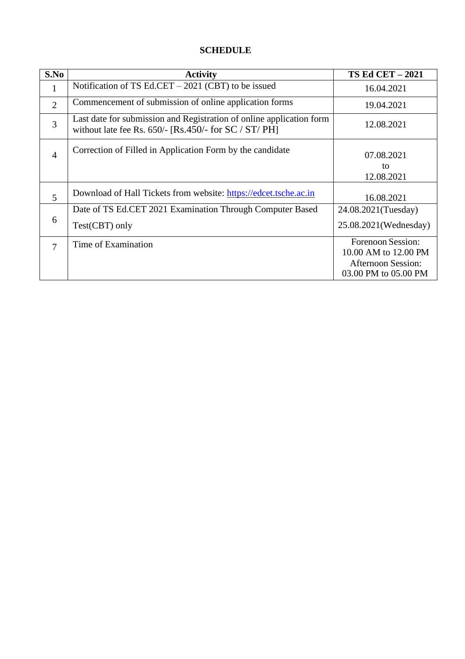### **SCHEDULE**

| S.No           | <b>Activity</b>                                                                                                                 | <b>TS Ed CET - 2021</b>                                                                        |
|----------------|---------------------------------------------------------------------------------------------------------------------------------|------------------------------------------------------------------------------------------------|
|                | Notification of TS Ed.CET - 2021 (CBT) to be issued                                                                             | 16.04.2021                                                                                     |
| $\overline{2}$ | Commencement of submission of online application forms                                                                          | 19.04.2021                                                                                     |
| $\overline{3}$ | Last date for submission and Registration of online application form<br>without late fee Rs. $650/-$ [Rs.450/- for SC / ST/ PH] | 12.08.2021                                                                                     |
| $\overline{4}$ | Correction of Filled in Application Form by the candidate                                                                       | 07.08.2021<br>to<br>12.08.2021                                                                 |
| 5              | Download of Hall Tickets from website: https://edcet.tsche.ac.in                                                                | 16.08.2021                                                                                     |
|                | Date of TS Ed.CET 2021 Examination Through Computer Based                                                                       | 24.08.2021(Tuesday)                                                                            |
| 6              | Test(CBT) only                                                                                                                  | 25.08.2021(Wednesday)                                                                          |
| 7              | Time of Examination                                                                                                             | Forenoon Session:<br>10.00 AM to 12.00 PM<br><b>Afternoon Session:</b><br>03.00 PM to 05.00 PM |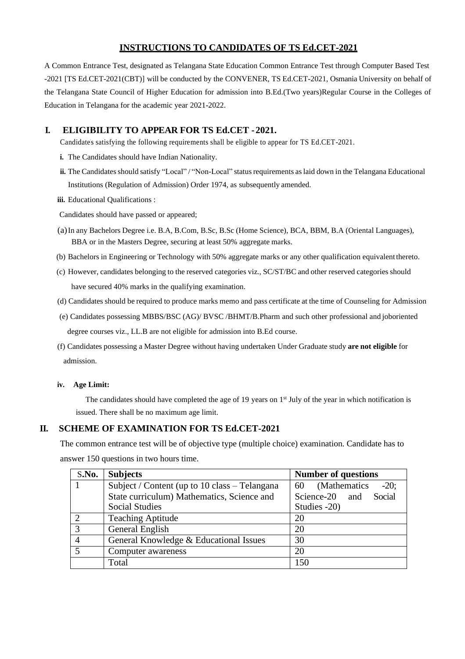### **INSTRUCTIONS TO CANDIDATES OF TS Ed.CET-2021**

A Common Entrance Test, designated as Telangana State Education Common Entrance Test through Computer Based Test -2021 [TS Ed.CET-2021(CBT)] will be conducted by the CONVENER, TS Ed.CET-2021, Osmania University on behalf of the Telangana State Council of Higher Education for admission into B.Ed.(Two years)Regular Course in the Colleges of Education in Telangana for the academic year 2021-2022.

### **I. ELIGIBILITY TO APPEAR FOR TS Ed.CET -2021.**

Candidate's satisfying the following requirements shall be eligible to appear for TS Ed.CET-2021.

- **i.** The Candidates should have Indian Nationality.
- **ii.** The Candidates should satisfy "Local" / "Non-Local" status requirements as laid down in the Telangana Educational Institutions (Regulation of Admission) Order 1974, as subsequently amended.
- **iii.** Educational Qualifications :

Candidates should have passed or appeared;

- (a)In any Bachelors Degree i.e. B.A, B.Com, B.Sc, B.Sc (Home Science), BCA, BBM, B.A (Oriental Languages), BBA or in the Masters Degree, securing at least 50% aggregate marks.
- (b) Bachelors in Engineering or Technology with 50% aggregate marks or any other qualification equivalentthereto.
- (c) However, candidates belonging to the reserved categories viz., SC/ST/BC and other reserved categories should have secured 40% marks in the qualifying examination.
- (d) Candidates should be required to produce marks memo and pass certificate at the time of Counseling for Admission
- (e) Candidates possessing MBBS/BSC (AG)/ BVSC /BHMT/B.Pharm and such other professional and joboriented degree courses viz., LL.B are not eligible for admission into B.Ed course.
- (f) Candidates possessing a Master Degree without having undertaken Under Graduate study **are not eligible** for admission.

#### **iv. Age Limit:**

The candidates should have completed the age of 19 years on  $1<sup>st</sup>$  July of the year in which notification is issued. There shall be no maximum age limit.

### **II. SCHEME OF EXAMINATION FOR TS Ed.CET-2021**

The common entrance test will be of objective type (multiple choice) examination. Candidate has to answer 150 questions in two hours time.

| S.No.          | <b>Subjects</b>                               | <b>Number of questions</b>     |  |
|----------------|-----------------------------------------------|--------------------------------|--|
|                | Subject / Content (up to 10 class – Telangana | (Mathematics)<br>$-20$ ;<br>60 |  |
|                | State curriculum) Mathematics, Science and    | Science-20 and Social          |  |
|                | <b>Social Studies</b>                         | Studies -20)                   |  |
| $\overline{2}$ | <b>Teaching Aptitude</b>                      | 20                             |  |
| 3              | General English                               | 20                             |  |
|                | General Knowledge & Educational Issues        | 30                             |  |
| 5              | Computer awareness                            | 20                             |  |
|                | Total                                         | 150                            |  |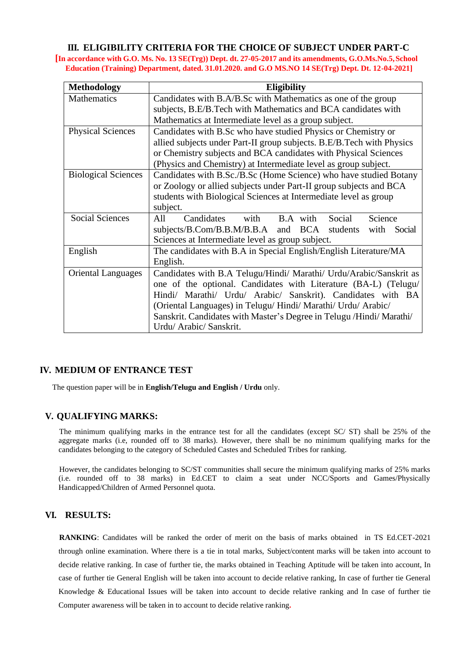### **III. ELIGIBILITY CRITERIA FOR THE CHOICE OF SUBJECT UNDER PART-C**

**[In accordance with G.O. Ms. No. 13 SE(Trg)) Dept. dt. 27-05-2017 and its amendments, G.O.Ms.No.5,School Education (Training) Department, dated. 31.01.2020. and G.O MS.NO 14 SE(Trg) Dept. Dt. 12-04-2021]**

| <b>Methodology</b>                                                   | <b>Eligibility</b>                                                    |  |  |  |  |
|----------------------------------------------------------------------|-----------------------------------------------------------------------|--|--|--|--|
| <b>Mathematics</b>                                                   | Candidates with B.A/B.Sc with Mathematics as one of the group         |  |  |  |  |
|                                                                      | subjects, B.E/B.Tech with Mathematics and BCA candidates with         |  |  |  |  |
|                                                                      | Mathematics at Intermediate level as a group subject.                 |  |  |  |  |
| <b>Physical Sciences</b>                                             | Candidates with B.Sc who have studied Physics or Chemistry or         |  |  |  |  |
|                                                                      | allied subjects under Part-II group subjects. B.E/B.Tech with Physics |  |  |  |  |
|                                                                      | or Chemistry subjects and BCA candidates with Physical Sciences       |  |  |  |  |
|                                                                      | (Physics and Chemistry) at Intermediate level as group subject.       |  |  |  |  |
| <b>Biological Sciences</b>                                           | Candidates with B.Sc./B.Sc (Home Science) who have studied Botany     |  |  |  |  |
|                                                                      | or Zoology or allied subjects under Part-II group subjects and BCA    |  |  |  |  |
|                                                                      | students with Biological Sciences at Intermediate level as group      |  |  |  |  |
|                                                                      | subject.                                                              |  |  |  |  |
| <b>Social Sciences</b>                                               | with<br>B.A with<br>Social<br>All<br>Candidates<br>Science            |  |  |  |  |
|                                                                      | subjects/B.Com/B.B.M/B.B.A and BCA<br>students<br>with<br>Social      |  |  |  |  |
|                                                                      | Sciences at Intermediate level as group subject.                      |  |  |  |  |
| English                                                              | The candidates with B.A in Special English/English Literature/MA      |  |  |  |  |
|                                                                      | English.                                                              |  |  |  |  |
| <b>Oriental Languages</b>                                            | Candidates with B.A Telugu/Hindi/ Marathi/ Urdu/Arabic/Sanskrit as    |  |  |  |  |
|                                                                      | one of the optional. Candidates with Literature (BA-L) (Telugu/       |  |  |  |  |
|                                                                      | Hindi/ Marathi/ Urdu/ Arabic/ Sanskrit). Candidates with BA           |  |  |  |  |
|                                                                      | (Oriental Languages) in Telugu/ Hindi/ Marathi/ Urdu/ Arabic/         |  |  |  |  |
| Sanskrit. Candidates with Master's Degree in Telugu /Hindi/ Marathi/ |                                                                       |  |  |  |  |
|                                                                      | Urdu/ Arabic/ Sanskrit.                                               |  |  |  |  |

### **IV. MEDIUM OF ENTRANCE TEST**

The question paper will be in **English/Telugu and English / Urdu** only.

### **V. QUALIFYING MARKS:**

The minimum qualifying marks in the entrance test for all the candidates (except SC/ ST) shall be 25% of the aggregate marks (i.e, rounded off to 38 marks). However, there shall be no minimum qualifying marks for the candidates belonging to the category of Scheduled Castes and Scheduled Tribes for ranking.

However, the candidates belonging to SC/ST communities shall secure the minimum qualifying marks of 25% marks (i.e. rounded off to 38 marks) in Ed.CET to claim a seat under NCC/Sports and Games/Physically Handicapped/Children of Armed Personnel quota.

### **VI. RESULTS:**

**RANKING**: Candidates will be ranked the order of merit on the basis of marks obtained in TS Ed.CET-2021 through online examination. Where there is a tie in total marks, Subject/content marks will be taken into account to decide relative ranking. In case of further tie, the marks obtained in Teaching Aptitude will be taken into account, In case of further tie General English will be taken into account to decide relative ranking, In case of further tie General Knowledge & Educational Issues will be taken into account to decide relative ranking and In case of further tie Computer awareness will be taken in to account to decide relative ranking**.**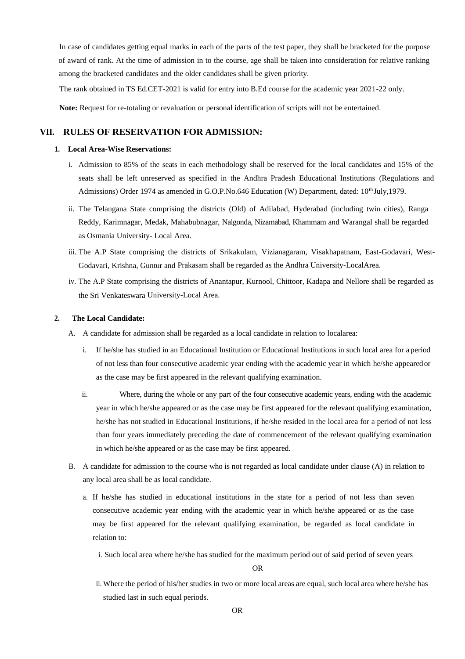In case of candidates getting equal marks in each of the parts of the test paper, they shall be bracketed for the purpose of award of rank. At the time of admission in to the course, age shall be taken into consideration for relative ranking among the bracketed candidates and the older candidates shall be given priority.

The rank obtained in TS Ed.CET-2021 is valid for entry into B.Ed course for the academic year 2021-22 only.

**Note:** Request for re-totaling or revaluation or personal identification of scripts will not be entertained.

### **VII. RULES OF RESERVATION FOR ADMISSION:**

#### **1. Local Area-Wise Reservations:**

- i. Admission to 85% of the seats in each methodology shall be reserved for the local candidates and 15% of the seats shall be left unreserved as specified in the Andhra Pradesh Educational Institutions (Regulations and Admissions) Order 1974 as amended in G.O.P.No.646 Education (W) Department, dated: 10<sup>th</sup> July,1979.
- ii. The Telangana State comprising the districts (Old) of Adilabad, Hyderabad (including twin cities), Ranga Reddy, Karimnagar, Medak, Mahabubnagar, Nalgonda, Nizamabad, Khammam and Warangal shall be regarded as Osmania University- Local Area.
- iii. The A.P State comprising the districts of Srikakulam, Vizianagaram, Visakhapatnam, East-Godavari, West-Godavari, Krishna, Guntur and Prakasam shall be regarded as the Andhra University-LocalArea.
- iv. The A.P State comprising the districts of Anantapur, Kurnool, Chittoor, Kadapa and Nellore shall be regarded as the Sri Venkateswara University-Local Area.

#### **2. The Local Candidate:**

- A. A candidate for admission shall be regarded as a local candidate in relation to localarea:
	- i. If he/she has studied in an Educational Institution or Educational Institutions in such local area for a period of not less than four consecutive academic year ending with the academic year in which he/she appearedor as the case may be first appeared in the relevant qualifying examination.
	- ii. Where, during the whole or any part of the four consecutive academic years, ending with the academic year in which he/she appeared or as the case may be first appeared for the relevant qualifying examination, he/she has not studied in Educational Institutions, if he/she resided in the local area for a period of not less than four years immediately preceding the date of commencement of the relevant qualifying examination in which he/she appeared or as the case may be first appeared.
- B. A candidate for admission to the course who is not regarded as local candidate under clause (A) in relation to any local area shall be as local candidate.
	- a. If he/she has studied in educational institutions in the state for a period of not less than seven consecutive academic year ending with the academic year in which he/she appeared or as the case may be first appeared for the relevant qualifying examination, be regarded as local candidate in relation to:
		- i. Such local area where he/she has studied for the maximum period out of said period of seven years

#### OR

ii. Where the period of his/her studies in two or more local areas are equal, such local area where he/she has studied last in such equal periods.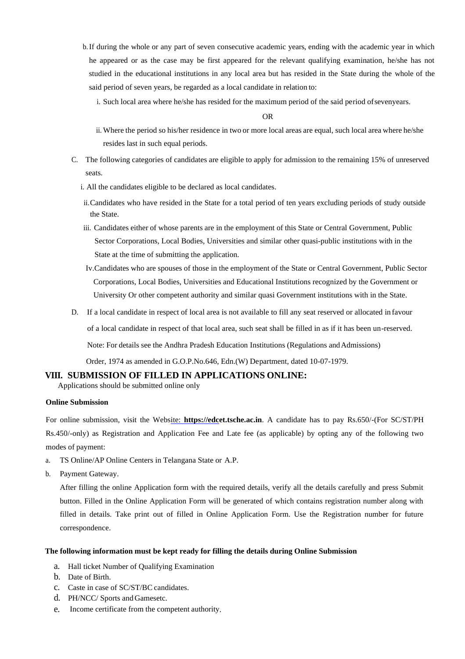- b.If during the whole or any part of seven consecutive academic years, ending with the academic year in which he appeared or as the case may be first appeared for the relevant qualifying examination, he/she has not studied in the educational institutions in any local area but has resided in the State during the whole of the said period of seven years, be regarded as a local candidate in relation to:
	- i. Such local area where he/she has resided for the maximum period of the said period ofsevenyears.

OR

- ii. Where the period so his/her residence in two or more local areas are equal, such local area where he/she resides last in such equal periods.
- C. The following categories of candidates are eligible to apply for admission to the remaining 15% of unreserved seats.
	- i. All the candidates eligible to be declared as local candidates.
	- ii.Candidates who have resided in the State for a total period of ten years excluding periods of study outside the State.
	- iii. Candidates either of whose parents are in the employment of this State or Central Government, Public Sector Corporations, Local Bodies, Universities and similar other quasi-public institutions with in the State at the time of submitting the application.
	- Iv.Candidates who are spouses of those in the employment of the State or Central Government, Public Sector Corporations, Local Bodies, Universities and Educational Institutions recognized by the Government or University Or other competent authority and similar quasi Government institutions with in the State.
- D. If a local candidate in respect of local area is not available to fill any seat reserved or allocated in favour of a local candidate in respect of that local area, such seat shall be filled in as if it has been un-reserved. Note: For details see the Andhra Pradesh Education Institutions (Regulations andAdmissions) Order, 1974 as amended in G.O.P.No.646, Edn.(W) Department, dated 10-07-1979.

**VIII. SUBMISSION OF FILLED IN APPLICATIONS ONLINE:**

Applications should be submitted online only

#### **Online Submission**

For online submission, visit the Website: **https://edcet.tsche.ac.in**. A candidate has to pay Rs.650/-(For SC/ST/PH Rs.450/-only) as Registration and Application Fee and Late fee (as applicable) by opting any of the following two modes of payment:

- a. TS Online/AP Online Centers in Telangana State or A.P.
- b. Payment Gateway.

After filling the online Application form with the required details, verify all the details carefully and press Submit button. Filled in the Online Application Form will be generated of which contains registration number along with filled in details. Take print out of filled in Online Application Form. Use the Registration number for future correspondence.

#### **The following information must be kept ready for filling the details during Online Submission**

- a. Hall ticket Number of Qualifying Examination
- b. Date of Birth.
- c. Caste in case of SC/ST/BC candidates.
- d. PH/NCC/ Sports and Gamesetc.
- e. Income certificate from the competent authority.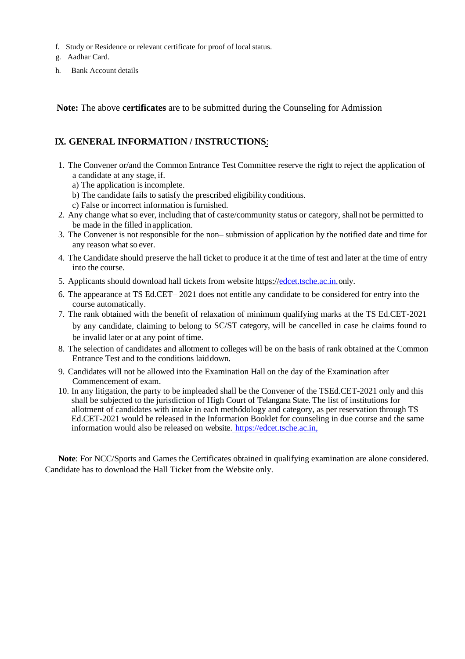- f. Study or Residence or relevant certificate for proof of local status.
- g. Aadhar Card.
- h. Bank Account details

**Note:** The above **certificates** are to be submitted during the Counseling for Admission

### **IX. GENERAL INFORMATION / INSTRUCTIONS**:

- 1. The Convener or/and the Common Entrance Test Committee reserve the right to reject the application of a candidate at any stage, if.
	- a) The application is incomplete.
	- b) The candidate fails to satisfy the prescribed eligibilityconditions.
	- c) False or incorrect information is furnished.
- 2. Any change what so ever, including that of caste/community status or category, shall not be permitted to be made in the filled inapplication.
- 3. The Convener is not responsible for the non– submission of application by the notified date and time for any reason what so ever.
- 4. The Candidate should preserve the hall ticket to produce it at the time of test and later at the time of entry into the course.
- 5. Applicants should download hall tickets from website https:[//edcet.tsche.ac.in.onl](http://www.tsedcet.org/)y.
- 6. The appearance at TS Ed.CET– 2021 does not entitle any candidate to be considered for entry into the course automatically.
- 7. The rank obtained with the benefit of relaxation of minimum qualifying marks at the TS Ed.CET-2021 by any candidate, claiming to belong to SC/ST category, will be cancelled in case he claims found to be invalid later or at any point of time.
- 8. The selection of candidates and allotment to colleges will be on the basis of rank obtained at the Common Entrance Test and to the conditions laiddown.
- 9. Candidates will not be allowed into the Examination Hall on the day of the Examination after Commencement of exam.
- 10. In any litigation, the party to be impleaded shall be the Convener of the TSEd.CET-2021 only and this shall be subjected to the jurisdiction of High Court of Telangana State. The list of institutions for allotment of candidates with intake in each methodology and category, as per reservation through TS Ed.CET-2021 would be released in the Information Booklet for counseling in due course and the same information would also be released on website. https://edcet.tsche.ac.in,

**Note**: For NCC/Sports and Games the Certificates obtained in qualifying examination are alone considered. Candidate has to download the Hall Ticket from the Website only.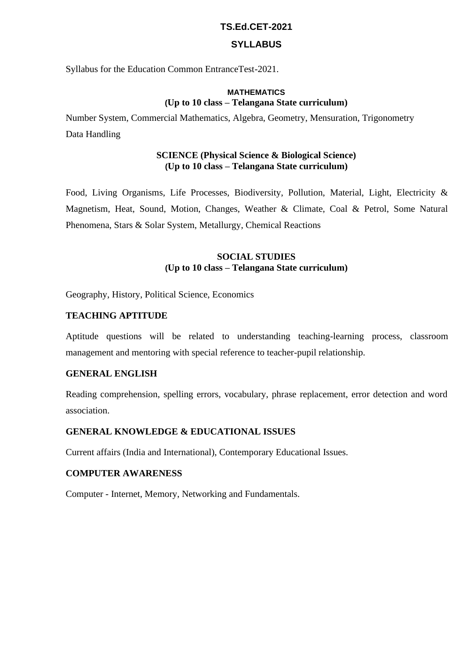### **TS.Ed.CET-2021**

### **SYLLABUS**

Syllabus for the Education Common EntranceTest-2021.

### **MATHEMATICS (Up to 10 class – Telangana State curriculum)**

Number System, Commercial Mathematics, Algebra, Geometry, Mensuration, Trigonometry Data Handling

### **SCIENCE (Physical Science & Biological Science) (Up to 10 class – Telangana State curriculum)**

Food, Living Organisms, Life Processes, Biodiversity, Pollution, Material, Light, Electricity & Magnetism, Heat, Sound, Motion, Changes, Weather & Climate, Coal & Petrol, Some Natural Phenomena, Stars & Solar System, Metallurgy, Chemical Reactions

### **SOCIAL STUDIES (Up to 10 class – Telangana State curriculum)**

Geography, History, Political Science, Economics

### **TEACHING APTITUDE**

Aptitude questions will be related to understanding teaching-learning process, classroom management and mentoring with special reference to teacher-pupil relationship.

### **GENERAL ENGLISH**

Reading comprehension, spelling errors, vocabulary, phrase replacement, error detection and word association.

### **GENERAL KNOWLEDGE & EDUCATIONAL ISSUES**

Current affairs (India and International), Contemporary Educational Issues.

### **COMPUTER AWARENESS**

Computer - Internet, Memory, Networking and Fundamentals.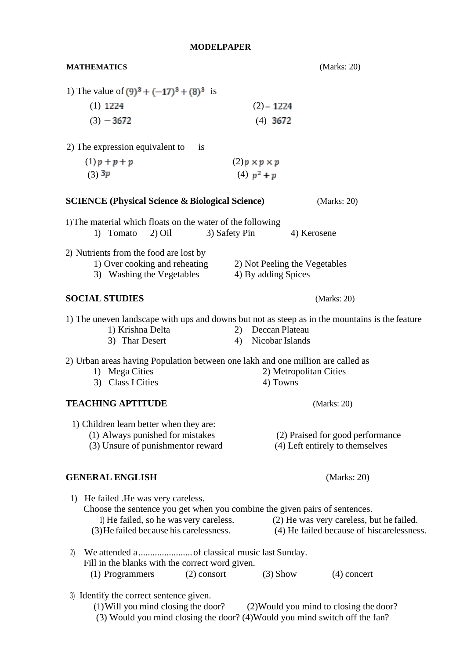**MATHEMATICS** (Marks: 20)

| 1) The value of $(9)^3 + (-17)^3 + (8)^3$ is                                                                                                                                                                                                                                                        |                                                                                                                                              |  |  |  |  |  |
|-----------------------------------------------------------------------------------------------------------------------------------------------------------------------------------------------------------------------------------------------------------------------------------------------------|----------------------------------------------------------------------------------------------------------------------------------------------|--|--|--|--|--|
| $(1)$ 1224                                                                                                                                                                                                                                                                                          | $(2) - 1224$                                                                                                                                 |  |  |  |  |  |
| $(3) - 3672$                                                                                                                                                                                                                                                                                        | $(4)$ 3672                                                                                                                                   |  |  |  |  |  |
| 2) The expression equivalent to<br><i>is</i>                                                                                                                                                                                                                                                        |                                                                                                                                              |  |  |  |  |  |
| $(1)p + p + p$                                                                                                                                                                                                                                                                                      | $(2)p \times p \times p$                                                                                                                     |  |  |  |  |  |
| $(3)$ 3p                                                                                                                                                                                                                                                                                            | (4) $p^2 + p$                                                                                                                                |  |  |  |  |  |
|                                                                                                                                                                                                                                                                                                     |                                                                                                                                              |  |  |  |  |  |
| <b>SCIENCE (Physical Science &amp; Biological Science)</b><br>(Marks: 20)                                                                                                                                                                                                                           |                                                                                                                                              |  |  |  |  |  |
| 1) The material which floats on the water of the following<br>1) Tomato<br>$2)$ Oil                                                                                                                                                                                                                 | 3) Safety Pin<br>4) Kerosene                                                                                                                 |  |  |  |  |  |
| 2) Nutrients from the food are lost by                                                                                                                                                                                                                                                              |                                                                                                                                              |  |  |  |  |  |
| 1) Over cooking and reheating<br>3) Washing the Vegetables                                                                                                                                                                                                                                          | 2) Not Peeling the Vegetables<br>4) By adding Spices                                                                                         |  |  |  |  |  |
| <b>SOCIAL STUDIES</b>                                                                                                                                                                                                                                                                               | (Marks: 20)                                                                                                                                  |  |  |  |  |  |
| 1) Krishna Delta<br>3) Thar Desert                                                                                                                                                                                                                                                                  | 1) The uneven landscape with ups and downs but not as steep as in the mountains is the feature<br>Deccan Plateau<br>2)<br>4) Nicobar Islands |  |  |  |  |  |
| 2) Urban areas having Population between one lakh and one million are called as<br>1) Mega Cities<br>3) Class I Cities                                                                                                                                                                              | 2) Metropolitan Cities<br>4) Towns                                                                                                           |  |  |  |  |  |
| <b>TEACHING APTITUDE</b>                                                                                                                                                                                                                                                                            | (Marks: 20)                                                                                                                                  |  |  |  |  |  |
| 1) Children learn better when they are:<br>(1) Always punished for mistakes<br>(3) Unsure of punishmentor reward                                                                                                                                                                                    | (2) Praised for good performance<br>(4) Left entirely to themselves                                                                          |  |  |  |  |  |
| <b>GENERAL ENGLISH</b>                                                                                                                                                                                                                                                                              | (Marks: 20)                                                                                                                                  |  |  |  |  |  |
| He failed . He was very careless.<br>1)<br>Choose the sentence you get when you combine the given pairs of sentences.<br>l) He failed, so he was very careless.<br>(2) He was very careless, but he failed.<br>(3) He failed because his carelessness.<br>(4) He failed because of hiscarelessness. |                                                                                                                                              |  |  |  |  |  |
| 2)<br>Fill in the blanks with the correct word given.                                                                                                                                                                                                                                               |                                                                                                                                              |  |  |  |  |  |
| (1) Programmers<br>$(2)$ consort                                                                                                                                                                                                                                                                    | $(3)$ Show<br>$(4)$ concert                                                                                                                  |  |  |  |  |  |
| 3) Identify the correct sentence given.<br>$(1)$ Will you mind closing the door?                                                                                                                                                                                                                    | (2) Would you mind to closing the door?                                                                                                      |  |  |  |  |  |

(3) Would you mind closing the door? (4)Would you mind switch off the fan?